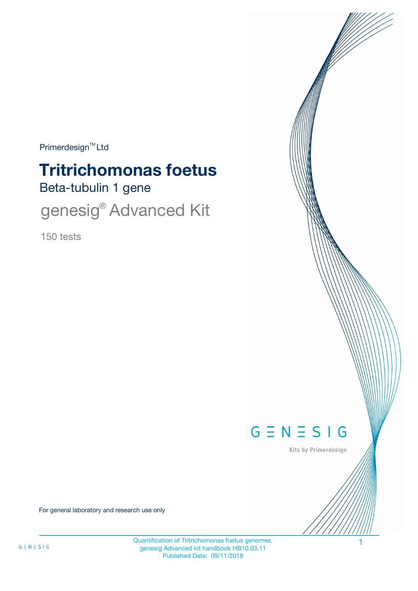Primerdesign<sup>™</sup>Ltd

# Beta-tubulin 1 gene **Tritrichomonas foetus**

genesig<sup>®</sup> Advanced Kit

150 tests



Kits by Primerdesign

For general laboratory and research use only

Quantification of Tritrichomonas foetus genomes. 1 genesig Advanced kit handbook HB10.03.11 Published Date: 09/11/2018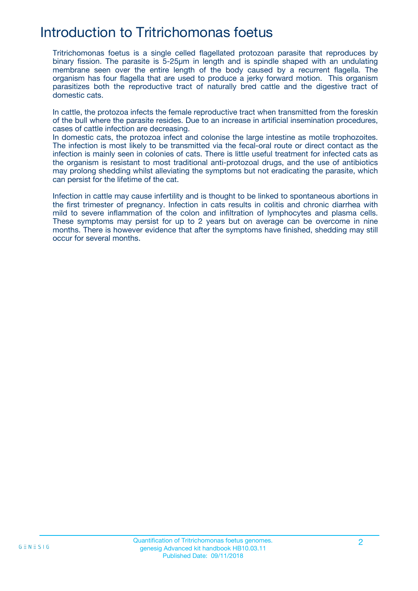## Introduction to Tritrichomonas foetus

Tritrichomonas foetus is a single celled flagellated protozoan parasite that reproduces by binary fission. The parasite is 5-25µm in length and is spindle shaped with an undulating membrane seen over the entire length of the body caused by a recurrent flagella. The organism has four flagella that are used to produce a jerky forward motion. This organism parasitizes both the reproductive tract of naturally bred cattle and the digestive tract of domestic cats.

In cattle, the protozoa infects the female reproductive tract when transmitted from the foreskin of the bull where the parasite resides. Due to an increase in artificial insemination procedures, cases of cattle infection are decreasing.

In domestic cats, the protozoa infect and colonise the large intestine as motile trophozoites. The infection is most likely to be transmitted via the fecal-oral route or direct contact as the infection is mainly seen in colonies of cats. There is little useful treatment for infected cats as the organism is resistant to most traditional anti-protozoal drugs, and the use of antibiotics may prolong shedding whilst alleviating the symptoms but not eradicating the parasite, which can persist for the lifetime of the cat.

Infection in cattle may cause infertility and is thought to be linked to spontaneous abortions in the first trimester of pregnancy. Infection in cats results in colitis and chronic diarrhea with mild to severe inflammation of the colon and infiltration of lymphocytes and plasma cells. These symptoms may persist for up to 2 years but on average can be overcome in nine months. There is however evidence that after the symptoms have finished, shedding may still occur for several months.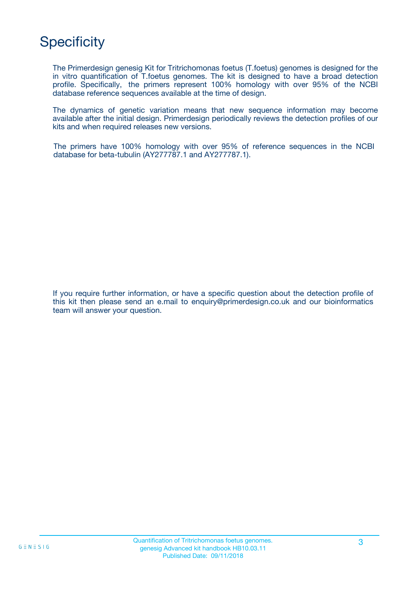# **Specificity**

The Primerdesign genesig Kit for Tritrichomonas foetus (T.foetus) genomes is designed for the in vitro quantification of T.foetus genomes. The kit is designed to have a broad detection profile. Specifically, the primers represent 100% homology with over 95% of the NCBI database reference sequences available at the time of design.

The dynamics of genetic variation means that new sequence information may become available after the initial design. Primerdesign periodically reviews the detection profiles of our kits and when required releases new versions.

The primers have 100% homology with over 95% of reference sequences in the NCBI database for beta-tubulin (AY277787.1 and AY277787.1).

If you require further information, or have a specific question about the detection profile of this kit then please send an e.mail to enquiry@primerdesign.co.uk and our bioinformatics team will answer your question.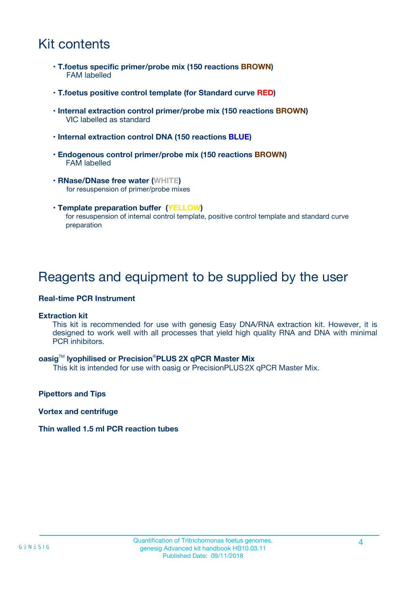## Kit contents

- **T.foetus specific primer/probe mix (150 reactions BROWN)** FAM labelled
- **T.foetus positive control template (for Standard curve RED)**
- **Internal extraction control primer/probe mix (150 reactions BROWN)** VIC labelled as standard
- **Internal extraction control DNA (150 reactions BLUE)**
- **Endogenous control primer/probe mix (150 reactions BROWN)** FAM labelled
- **RNase/DNase free water (WHITE)** for resuspension of primer/probe mixes
- **Template preparation buffer (YELLOW)** for resuspension of internal control template, positive control template and standard curve preparation

### Reagents and equipment to be supplied by the user

#### **Real-time PCR Instrument**

#### **Extraction kit**

This kit is recommended for use with genesig Easy DNA/RNA extraction kit. However, it is designed to work well with all processes that yield high quality RNA and DNA with minimal PCR inhibitors.

#### **oasig**TM **lyophilised or Precision**®**PLUS 2X qPCR Master Mix**

This kit is intended for use with oasig or PrecisionPLUS2X qPCR Master Mix.

**Pipettors and Tips**

**Vortex and centrifuge**

#### **Thin walled 1.5 ml PCR reaction tubes**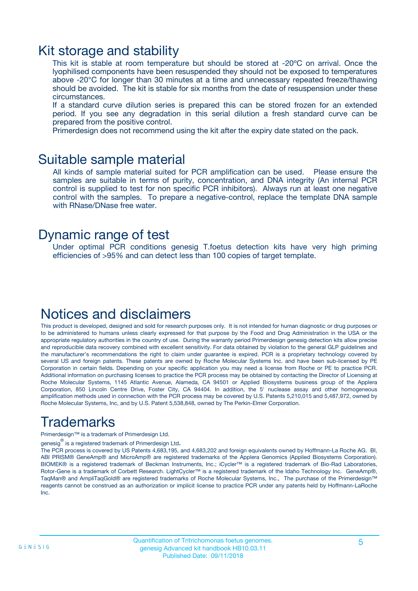### Kit storage and stability

This kit is stable at room temperature but should be stored at -20ºC on arrival. Once the lyophilised components have been resuspended they should not be exposed to temperatures above -20°C for longer than 30 minutes at a time and unnecessary repeated freeze/thawing should be avoided. The kit is stable for six months from the date of resuspension under these circumstances.

If a standard curve dilution series is prepared this can be stored frozen for an extended period. If you see any degradation in this serial dilution a fresh standard curve can be prepared from the positive control.

Primerdesign does not recommend using the kit after the expiry date stated on the pack.

### Suitable sample material

All kinds of sample material suited for PCR amplification can be used. Please ensure the samples are suitable in terms of purity, concentration, and DNA integrity (An internal PCR control is supplied to test for non specific PCR inhibitors). Always run at least one negative control with the samples. To prepare a negative-control, replace the template DNA sample with RNase/DNase free water.

### Dynamic range of test

Under optimal PCR conditions genesig T.foetus detection kits have very high priming efficiencies of >95% and can detect less than 100 copies of target template.

### Notices and disclaimers

This product is developed, designed and sold for research purposes only. It is not intended for human diagnostic or drug purposes or to be administered to humans unless clearly expressed for that purpose by the Food and Drug Administration in the USA or the appropriate regulatory authorities in the country of use. During the warranty period Primerdesign genesig detection kits allow precise and reproducible data recovery combined with excellent sensitivity. For data obtained by violation to the general GLP guidelines and the manufacturer's recommendations the right to claim under guarantee is expired. PCR is a proprietary technology covered by several US and foreign patents. These patents are owned by Roche Molecular Systems Inc. and have been sub-licensed by PE Corporation in certain fields. Depending on your specific application you may need a license from Roche or PE to practice PCR. Additional information on purchasing licenses to practice the PCR process may be obtained by contacting the Director of Licensing at Roche Molecular Systems, 1145 Atlantic Avenue, Alameda, CA 94501 or Applied Biosystems business group of the Applera Corporation, 850 Lincoln Centre Drive, Foster City, CA 94404. In addition, the 5' nuclease assay and other homogeneous amplification methods used in connection with the PCR process may be covered by U.S. Patents 5,210,015 and 5,487,972, owned by Roche Molecular Systems, Inc, and by U.S. Patent 5,538,848, owned by The Perkin-Elmer Corporation.

## Trademarks

Primerdesign™ is a trademark of Primerdesign Ltd.

genesig $^\circledR$  is a registered trademark of Primerdesign Ltd.

The PCR process is covered by US Patents 4,683,195, and 4,683,202 and foreign equivalents owned by Hoffmann-La Roche AG. BI, ABI PRISM® GeneAmp® and MicroAmp® are registered trademarks of the Applera Genomics (Applied Biosystems Corporation). BIOMEK® is a registered trademark of Beckman Instruments, Inc.; iCycler™ is a registered trademark of Bio-Rad Laboratories, Rotor-Gene is a trademark of Corbett Research. LightCycler™ is a registered trademark of the Idaho Technology Inc. GeneAmp®, TaqMan® and AmpliTaqGold® are registered trademarks of Roche Molecular Systems, Inc., The purchase of the Primerdesign™ reagents cannot be construed as an authorization or implicit license to practice PCR under any patents held by Hoffmann-LaRoche Inc.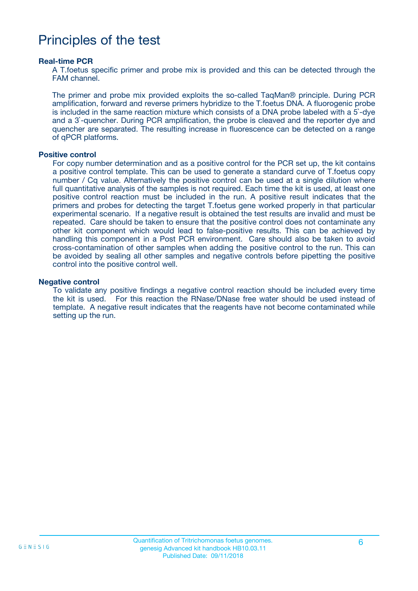## Principles of the test

#### **Real-time PCR**

A T.foetus specific primer and probe mix is provided and this can be detected through the FAM channel.

The primer and probe mix provided exploits the so-called TaqMan® principle. During PCR amplification, forward and reverse primers hybridize to the T.foetus DNA. A fluorogenic probe is included in the same reaction mixture which consists of a DNA probe labeled with a 5`-dye and a 3`-quencher. During PCR amplification, the probe is cleaved and the reporter dye and quencher are separated. The resulting increase in fluorescence can be detected on a range of qPCR platforms.

#### **Positive control**

For copy number determination and as a positive control for the PCR set up, the kit contains a positive control template. This can be used to generate a standard curve of T.foetus copy number / Cq value. Alternatively the positive control can be used at a single dilution where full quantitative analysis of the samples is not required. Each time the kit is used, at least one positive control reaction must be included in the run. A positive result indicates that the primers and probes for detecting the target T.foetus gene worked properly in that particular experimental scenario. If a negative result is obtained the test results are invalid and must be repeated. Care should be taken to ensure that the positive control does not contaminate any other kit component which would lead to false-positive results. This can be achieved by handling this component in a Post PCR environment. Care should also be taken to avoid cross-contamination of other samples when adding the positive control to the run. This can be avoided by sealing all other samples and negative controls before pipetting the positive control into the positive control well.

#### **Negative control**

To validate any positive findings a negative control reaction should be included every time the kit is used. For this reaction the RNase/DNase free water should be used instead of template. A negative result indicates that the reagents have not become contaminated while setting up the run.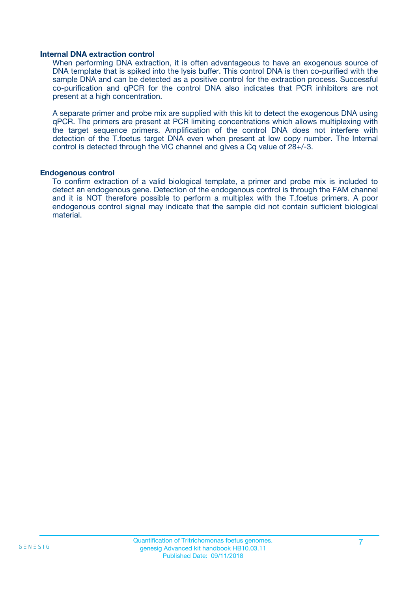#### **Internal DNA extraction control**

When performing DNA extraction, it is often advantageous to have an exogenous source of DNA template that is spiked into the lysis buffer. This control DNA is then co-purified with the sample DNA and can be detected as a positive control for the extraction process. Successful co-purification and qPCR for the control DNA also indicates that PCR inhibitors are not present at a high concentration.

A separate primer and probe mix are supplied with this kit to detect the exogenous DNA using qPCR. The primers are present at PCR limiting concentrations which allows multiplexing with the target sequence primers. Amplification of the control DNA does not interfere with detection of the T.foetus target DNA even when present at low copy number. The Internal control is detected through the VIC channel and gives a Cq value of 28+/-3.

#### **Endogenous control**

To confirm extraction of a valid biological template, a primer and probe mix is included to detect an endogenous gene. Detection of the endogenous control is through the FAM channel and it is NOT therefore possible to perform a multiplex with the T.foetus primers. A poor endogenous control signal may indicate that the sample did not contain sufficient biological material.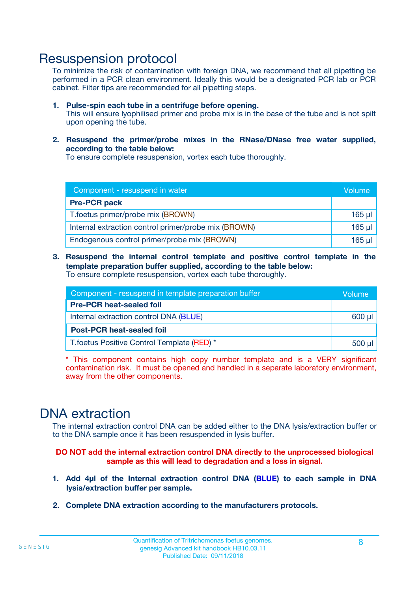### Resuspension protocol

To minimize the risk of contamination with foreign DNA, we recommend that all pipetting be performed in a PCR clean environment. Ideally this would be a designated PCR lab or PCR cabinet. Filter tips are recommended for all pipetting steps.

- **1. Pulse-spin each tube in a centrifuge before opening.** This will ensure lyophilised primer and probe mix is in the base of the tube and is not spilt upon opening the tube.
- **2. Resuspend the primer/probe mixes in the RNase/DNase free water supplied, according to the table below:**

To ensure complete resuspension, vortex each tube thoroughly.

| Component - resuspend in water                       |          |  |
|------------------------------------------------------|----------|--|
| <b>Pre-PCR pack</b>                                  |          |  |
| T.foetus primer/probe mix (BROWN)                    | $165$ µl |  |
| Internal extraction control primer/probe mix (BROWN) | $165$ µl |  |
| Endogenous control primer/probe mix (BROWN)          | 165 µl   |  |

**3. Resuspend the internal control template and positive control template in the template preparation buffer supplied, according to the table below:** To ensure complete resuspension, vortex each tube thoroughly.

| Component - resuspend in template preparation buffer |  |  |  |
|------------------------------------------------------|--|--|--|
| <b>Pre-PCR heat-sealed foil</b>                      |  |  |  |
| Internal extraction control DNA (BLUE)               |  |  |  |
| <b>Post-PCR heat-sealed foil</b>                     |  |  |  |
| T. foetus Positive Control Template (RED) *          |  |  |  |

\* This component contains high copy number template and is a VERY significant contamination risk. It must be opened and handled in a separate laboratory environment, away from the other components.

### DNA extraction

The internal extraction control DNA can be added either to the DNA lysis/extraction buffer or to the DNA sample once it has been resuspended in lysis buffer.

**DO NOT add the internal extraction control DNA directly to the unprocessed biological sample as this will lead to degradation and a loss in signal.**

- **1. Add 4µl of the Internal extraction control DNA (BLUE) to each sample in DNA lysis/extraction buffer per sample.**
- **2. Complete DNA extraction according to the manufacturers protocols.**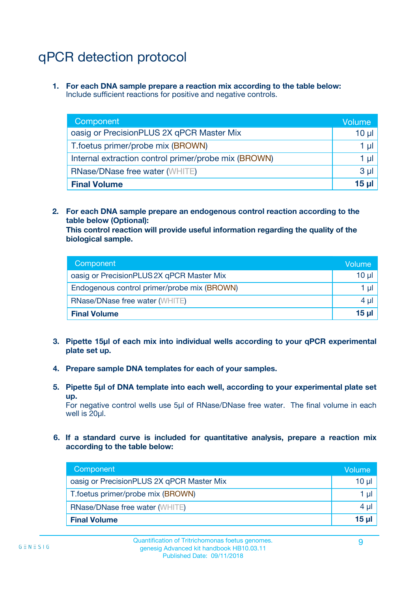# qPCR detection protocol

**1. For each DNA sample prepare a reaction mix according to the table below:** Include sufficient reactions for positive and negative controls.

| Component                                            | Volume   |
|------------------------------------------------------|----------|
| oasig or PrecisionPLUS 2X qPCR Master Mix            | $10 \mu$ |
| T.foetus primer/probe mix (BROWN)                    | 1 µI l   |
| Internal extraction control primer/probe mix (BROWN) | 1 µl     |
| <b>RNase/DNase free water (WHITE)</b>                | $3 \mu$  |
| <b>Final Volume</b>                                  | 15 µl    |

**2. For each DNA sample prepare an endogenous control reaction according to the table below (Optional):**

**This control reaction will provide useful information regarding the quality of the biological sample.**

| Component                                   | Volume          |
|---------------------------------------------|-----------------|
| oasig or PrecisionPLUS 2X qPCR Master Mix   | 10 µl           |
| Endogenous control primer/probe mix (BROWN) | 1 µI            |
| <b>RNase/DNase free water (WHITE)</b>       | $4 \mu$         |
| <b>Final Volume</b>                         | 15 <sub>µ</sub> |

- **3. Pipette 15µl of each mix into individual wells according to your qPCR experimental plate set up.**
- **4. Prepare sample DNA templates for each of your samples.**
- **5. Pipette 5µl of DNA template into each well, according to your experimental plate set up.**

For negative control wells use 5µl of RNase/DNase free water. The final volume in each well is 20ul.

**6. If a standard curve is included for quantitative analysis, prepare a reaction mix according to the table below:**

| Component                                 | Volume          |
|-------------------------------------------|-----------------|
| oasig or PrecisionPLUS 2X qPCR Master Mix | $10 \mu$        |
| T.foetus primer/probe mix (BROWN)         |                 |
| <b>RNase/DNase free water (WHITE)</b>     | $4 \mu$         |
| <b>Final Volume</b>                       | 15 <sub>µ</sub> |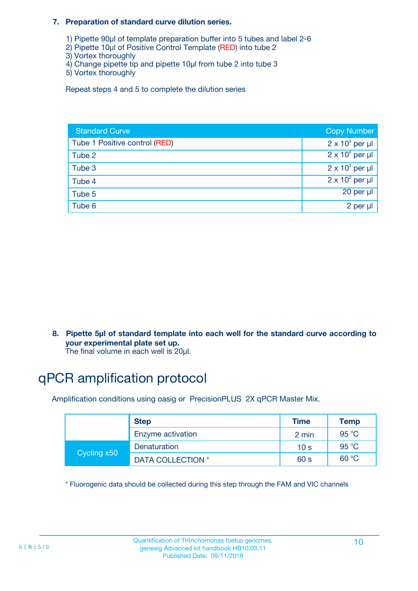#### **7. Preparation of standard curve dilution series.**

- 1) Pipette 90µl of template preparation buffer into 5 tubes and label 2-6
- 2) Pipette 10µl of Positive Control Template (RED) into tube 2
- 3) Vortex thoroughly
- 4) Change pipette tip and pipette 10µl from tube 2 into tube 3
- 5) Vortex thoroughly

Repeat steps 4 and 5 to complete the dilution series

| <b>Standard Curve</b>         | <b>Copy Number</b>     |
|-------------------------------|------------------------|
| Tube 1 Positive control (RED) | $2 \times 10^5$ per µl |
| Tube 2                        | $2 \times 10^4$ per µl |
| Tube 3                        | $2 \times 10^3$ per µl |
| Tube 4                        | $2 \times 10^2$ per µl |
| Tube 5                        | 20 per µl              |
| Tube 6                        | 2 per µl               |

**8. Pipette 5µl of standard template into each well for the standard curve according to your experimental plate set up.**

#### The final volume in each well is 20µl.

## qPCR amplification protocol

Amplification conditions using oasig or PrecisionPLUS 2X qPCR Master Mix.

|             | <b>Step</b>       | <b>Time</b>     | Temp    |
|-------------|-------------------|-----------------|---------|
|             | Enzyme activation | 2 min           | 95 °C   |
| Cycling x50 | Denaturation      | 10 <sub>s</sub> | 95 $°C$ |
|             | DATA COLLECTION * | 60 s            | 60 °C   |

\* Fluorogenic data should be collected during this step through the FAM and VIC channels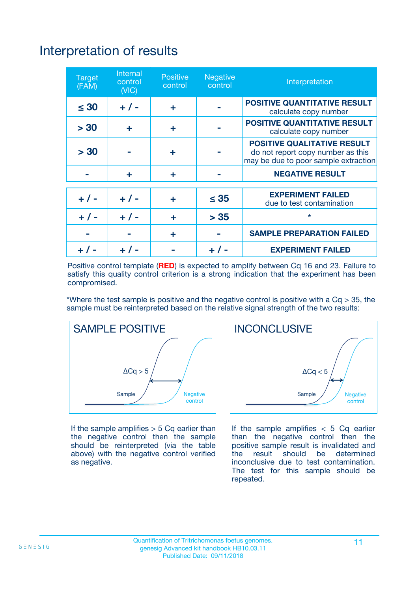# Interpretation of results

| <b>Target</b><br>(FAM) | <b>Internal</b><br>control<br>(NIC) | <b>Positive</b><br>control | <b>Negative</b><br>control | Interpretation                                                                                                  |
|------------------------|-------------------------------------|----------------------------|----------------------------|-----------------------------------------------------------------------------------------------------------------|
| $\leq 30$              | $+ 1 -$                             | ÷                          |                            | <b>POSITIVE QUANTITATIVE RESULT</b><br>calculate copy number                                                    |
| > 30                   | ٠                                   | ÷                          |                            | <b>POSITIVE QUANTITATIVE RESULT</b><br>calculate copy number                                                    |
| > 30                   |                                     | ÷                          |                            | <b>POSITIVE QUALITATIVE RESULT</b><br>do not report copy number as this<br>may be due to poor sample extraction |
|                        | ٠                                   | ÷                          |                            | <b>NEGATIVE RESULT</b>                                                                                          |
| $+ 1 -$                | $+ 1 -$                             | ÷                          | $\leq 35$                  | <b>EXPERIMENT FAILED</b><br>due to test contamination                                                           |
| $+ 1 -$                | $+ 1 -$                             | ÷                          | > 35                       | $\star$                                                                                                         |
|                        |                                     | ÷                          |                            | <b>SAMPLE PREPARATION FAILED</b>                                                                                |
|                        |                                     |                            | $+$ /                      | <b>EXPERIMENT FAILED</b>                                                                                        |

Positive control template (**RED**) is expected to amplify between Cq 16 and 23. Failure to satisfy this quality control criterion is a strong indication that the experiment has been compromised.

\*Where the test sample is positive and the negative control is positive with a  $Ca > 35$ , the sample must be reinterpreted based on the relative signal strength of the two results:



If the sample amplifies  $> 5$  Cq earlier than the negative control then the sample should be reinterpreted (via the table above) with the negative control verified as negative.



If the sample amplifies  $< 5$  Cq earlier than the negative control then the positive sample result is invalidated and<br>the result should be determined  $the$  result should be inconclusive due to test contamination. The test for this sample should be repeated.